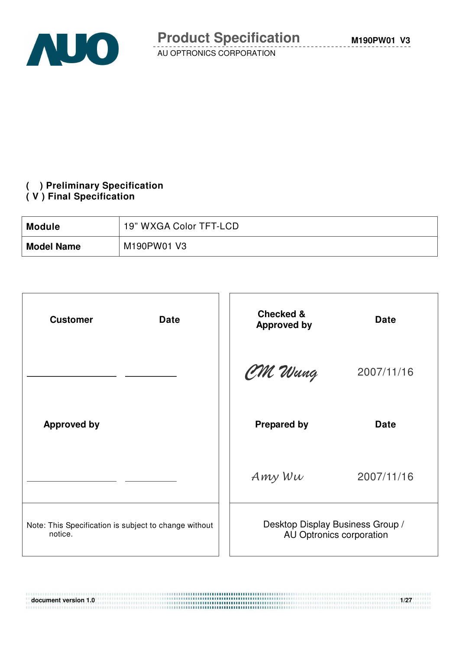

#### **( ) Preliminary Specification ( V ) Final Specification**

| <b>Module</b>     | 19" WXGA Color TFT-LCD |
|-------------------|------------------------|
| <b>Model Name</b> | M190PW01 V3            |

| <b>Date</b><br><b>Customer</b>                                   | <b>Checked &amp;</b><br><b>Approved by</b>                   | <b>Date</b> |
|------------------------------------------------------------------|--------------------------------------------------------------|-------------|
|                                                                  | CM Wang                                                      | 2007/11/16  |
| <b>Approved by</b>                                               | <b>Prepared by</b>                                           | <b>Date</b> |
|                                                                  | Amy Wu                                                       | 2007/11/16  |
| Note: This Specification is subject to change without<br>notice. | Desktop Display Business Group /<br>AU Optronics corporation |             |

**document version 1.0** 1/27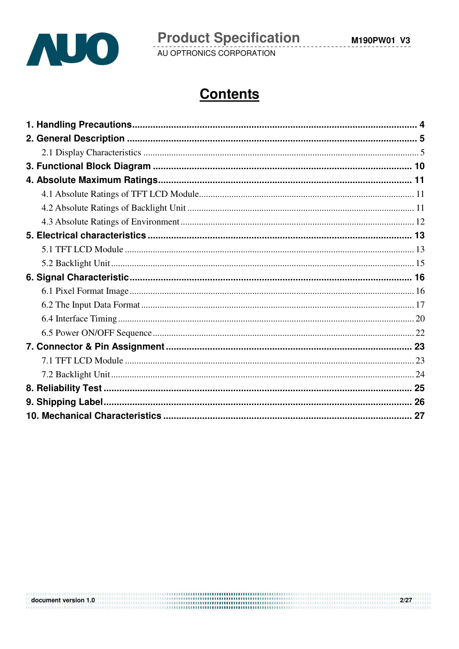

## **Contents**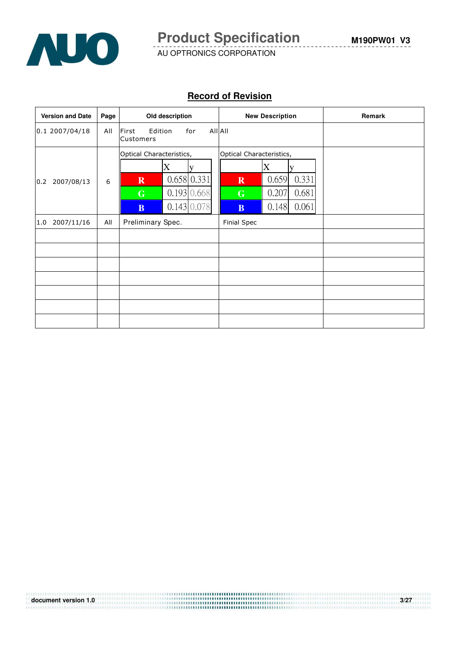

#### **Record of Revision**

| <b>Version and Date</b> | Page | Old description                                                                                                     | <b>New Description</b>                                                                                                              | Remark |
|-------------------------|------|---------------------------------------------------------------------------------------------------------------------|-------------------------------------------------------------------------------------------------------------------------------------|--------|
| 0.12007/04/18           | All  | First<br>Edition<br>for<br>Customers                                                                                | All All                                                                                                                             |        |
| 2007/08/13<br>0.2       | 6    | Optical Characteristics,<br>X<br>v<br>0.658 0.331<br>$\mathbf R$<br>0.193 0.668<br>G<br>0.143 0.078<br><sub>B</sub> | Optical Characteristics,<br>X<br>0.659<br>0.331<br>$\overline{\mathbf{R}}$<br>0.207<br>0.681<br>G<br>0.148<br>0.061<br>$\mathbf{B}$ |        |
| 2007/11/16<br>1.0       | All  | Preliminary Spec.                                                                                                   | <b>Finial Spec</b>                                                                                                                  |        |
|                         |      |                                                                                                                     |                                                                                                                                     |        |
|                         |      |                                                                                                                     |                                                                                                                                     |        |
|                         |      |                                                                                                                     |                                                                                                                                     |        |
|                         |      |                                                                                                                     |                                                                                                                                     |        |
|                         |      |                                                                                                                     |                                                                                                                                     |        |
|                         |      |                                                                                                                     |                                                                                                                                     |        |
|                         |      |                                                                                                                     |                                                                                                                                     |        |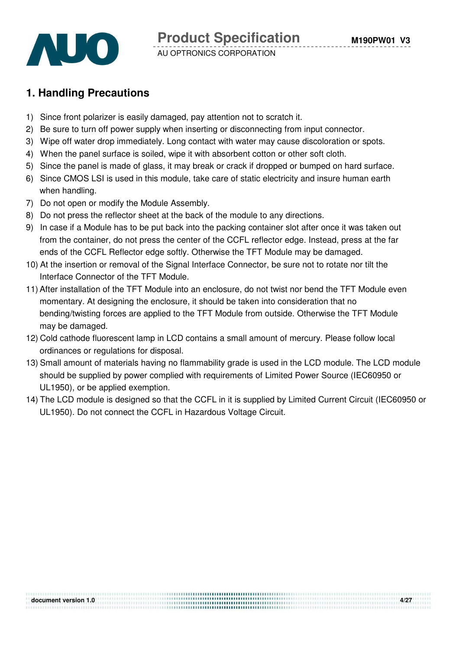



## **1. Handling Precautions**

- 1) Since front polarizer is easily damaged, pay attention not to scratch it.
- 2) Be sure to turn off power supply when inserting or disconnecting from input connector.
- 3) Wipe off water drop immediately. Long contact with water may cause discoloration or spots.
- 4) When the panel surface is soiled, wipe it with absorbent cotton or other soft cloth.
- 5) Since the panel is made of glass, it may break or crack if dropped or bumped on hard surface.
- 6) Since CMOS LSI is used in this module, take care of static electricity and insure human earth when handling.
- 7) Do not open or modify the Module Assembly.
- 8) Do not press the reflector sheet at the back of the module to any directions.
- 9) In case if a Module has to be put back into the packing container slot after once it was taken out from the container, do not press the center of the CCFL reflector edge. Instead, press at the far ends of the CCFL Reflector edge softly. Otherwise the TFT Module may be damaged.
- 10) At the insertion or removal of the Signal Interface Connector, be sure not to rotate nor tilt the Interface Connector of the TFT Module.
- 11) After installation of the TFT Module into an enclosure, do not twist nor bend the TFT Module even momentary. At designing the enclosure, it should be taken into consideration that no bending/twisting forces are applied to the TFT Module from outside. Otherwise the TFT Module may be damaged.
- 12) Cold cathode fluorescent lamp in LCD contains a small amount of mercury. Please follow local ordinances or regulations for disposal.
- 13) Small amount of materials having no flammability grade is used in the LCD module. The LCD module should be supplied by power complied with requirements of Limited Power Source (IEC60950 or UL1950), or be applied exemption.
- 14) The LCD module is designed so that the CCFL in it is supplied by Limited Current Circuit (IEC60950 or UL1950). Do not connect the CCFL in Hazardous Voltage Circuit.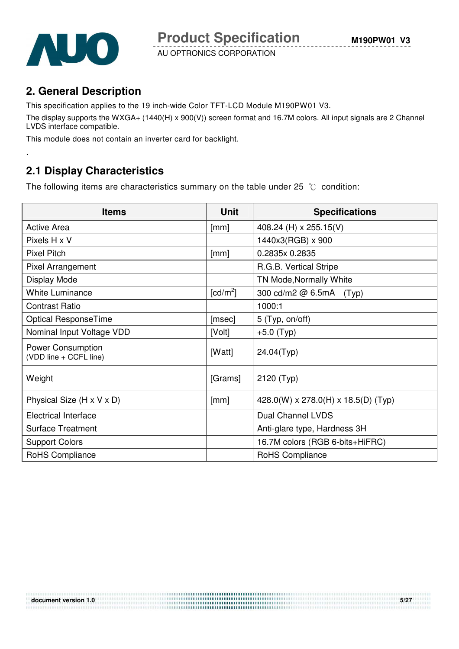

.

AU OPTRONICS CORPORATION

## **2. General Description**

This specification applies to the 19 inch-wide Color TFT-LCD Module M190PW01 V3.

The display supports the WXGA+ (1440(H) x 900(V)) screen format and 16.7M colors. All input signals are 2 Channel LVDS interface compatible.

This module does not contain an inverter card for backlight.

## **2.1 Display Characteristics**

The following items are characteristics summary on the table under 25  $\degree$ C condition:

| <b>Items</b>                                       | <b>Unit</b>            | <b>Specifications</b>               |
|----------------------------------------------------|------------------------|-------------------------------------|
| <b>Active Area</b>                                 | [mm]                   | 408.24 (H) x 255.15(V)              |
| Pixels H x V                                       |                        | 1440x3(RGB) x 900                   |
| <b>Pixel Pitch</b>                                 | [mm]                   | 0.2835x 0.2835                      |
| Pixel Arrangement                                  |                        | R.G.B. Vertical Stripe              |
| Display Mode                                       |                        | TN Mode, Normally White             |
| <b>White Luminance</b>                             | $\lceil cd/m^2 \rceil$ | 300 cd/m2 @ 6.5mA<br>(Typ)          |
| <b>Contrast Ratio</b>                              |                        | 1000:1                              |
| Optical ResponseTime                               | [msec]                 | 5 (Typ, on/off)                     |
| Nominal Input Voltage VDD                          | [Volt]                 | $+5.0$ (Typ)                        |
| <b>Power Consumption</b><br>(VDD line + CCFL line) | [Watt]                 | 24.04(Typ)                          |
| Weight                                             | [Grams]                | 2120 (Typ)                          |
| Physical Size (H x V x D)                          | [mm]                   | 428.0(W) x 278.0(H) x 18.5(D) (Typ) |
| <b>Electrical Interface</b>                        |                        | Dual Channel LVDS                   |
| <b>Surface Treatment</b>                           |                        | Anti-glare type, Hardness 3H        |
| <b>Support Colors</b>                              |                        | 16.7M colors (RGB 6-bits+HiFRC)     |
| RoHS Compliance                                    |                        | RoHS Compliance                     |

.....................................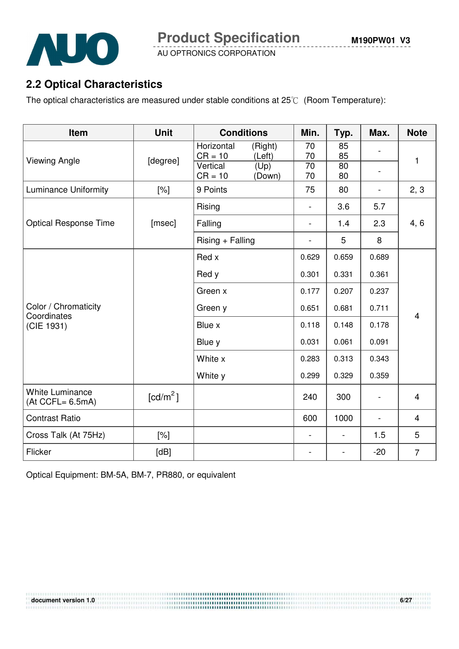



## **2.2 Optical Characteristics**

The optical characteristics are measured under stable conditions at  $25^{\circ}$  (Room Temperature):

| Item                                          | <b>Unit</b>            | <b>Conditions</b>                            | Min.     | Typ.     | Max.                     | <b>Note</b>    |  |
|-----------------------------------------------|------------------------|----------------------------------------------|----------|----------|--------------------------|----------------|--|
|                                               |                        | Horizontal<br>(Right)<br>$CR = 10$<br>(Left) | 70<br>70 | 85<br>85 |                          |                |  |
| <b>Viewing Angle</b>                          | [degree]               | Vertical<br>(Up)<br>$CR = 10$<br>(Down)      | 70<br>70 | 80<br>80 |                          | 1              |  |
| <b>Luminance Uniformity</b>                   | [%]                    | 9 Points                                     | 75       | 80       | $\overline{\phantom{a}}$ | 2, 3           |  |
|                                               |                        | Rising                                       |          | 3.6      | 5.7                      |                |  |
| <b>Optical Response Time</b>                  | [msec]                 | Falling                                      | Ξ.       | 1.4      | 2.3                      | 4, 6           |  |
|                                               |                        | $Rising + Falling$                           |          | 5        | 8                        |                |  |
|                                               |                        | Red x                                        | 0.629    | 0.659    | 0.689                    |                |  |
|                                               |                        | Red y                                        | 0.301    | 0.331    | 0.361                    |                |  |
|                                               |                        | Green x                                      | 0.177    | 0.207    | 0.237                    |                |  |
| Color / Chromaticity<br>Coordinates           |                        | Green y                                      | 0.651    | 0.681    | 0.711                    | $\overline{4}$ |  |
| (CIE 1931)                                    |                        | Blue x<br>0.118<br>0.148                     |          | 0.178    |                          |                |  |
|                                               |                        | Blue y                                       | 0.031    | 0.061    | 0.091                    |                |  |
|                                               |                        | White x                                      | 0.283    | 0.313    | 0.343                    |                |  |
|                                               |                        | White y                                      | 0.299    | 0.329    | 0.359                    |                |  |
| <b>White Luminance</b><br>$(At CCFL = 6.5mA)$ | $\lceil cd/m^2 \rceil$ |                                              | 240      | 300      | $\overline{\phantom{a}}$ | $\overline{4}$ |  |
| <b>Contrast Ratio</b>                         |                        |                                              | 600      | 1000     | $\overline{\phantom{a}}$ | $\overline{4}$ |  |
| Cross Talk (At 75Hz)                          | $[\%]$                 |                                              |          |          | 1.5                      | 5              |  |
| Flicker                                       | [dB]                   |                                              |          |          | $-20$                    | $\overline{7}$ |  |

Optical Equipment: BM-5A, BM-7, PR880, or equivalent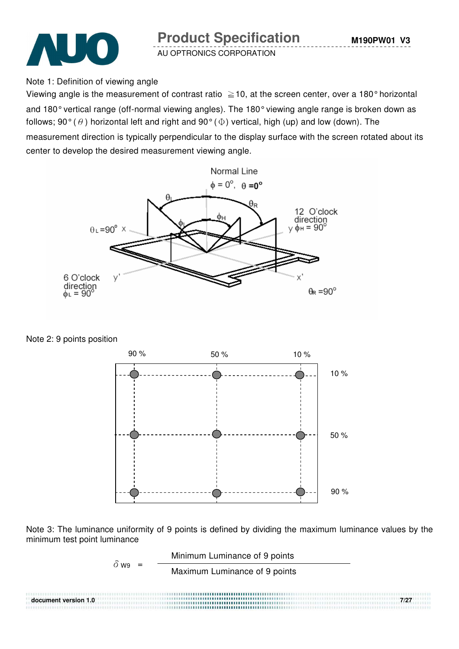

Note 1: Definition of viewing angle

Viewing angle is the measurement of contrast ratio  $\geq$  10, at the screen center, over a 180° horizontal and 180° vertical range (off-normal viewing angles). The 180° viewing angle range is broken down as follows; 90° ( $\theta$ ) horizontal left and right and 90° ( $\Phi$ ) vertical, high (up) and low (down). The

measurement direction is typically perpendicular to the display surface with the screen rotated about its center to develop the desired measurement viewing angle.



Note 2: 9 points position



Note 3: The luminance uniformity of 9 points is defined by dividing the maximum luminance values by the minimum test point luminance

$$
\delta_{W9} = \frac{\text{Minimum Luminance of 9 points}}{\text{Maximum Luminance of 9 points}}
$$

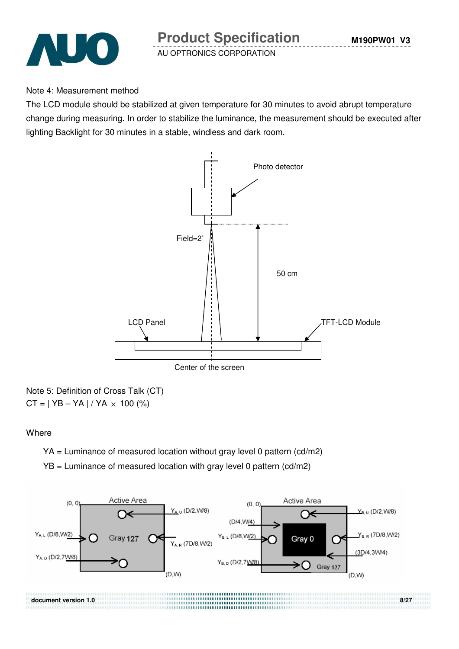

#### Note 4: Measurement method

The LCD module should be stabilized at given temperature for 30 minutes to avoid abrupt temperature change during measuring. In order to stabilize the luminance, the measurement should be executed after lighting Backlight for 30 minutes in a stable, windless and dark room.



Note 5: Definition of Cross Talk (CT)  $CT = | YB - YA | / YA \times 100 (%)$ 

#### **Where**

YA = Luminance of measured location without gray level 0 pattern (cd/m2)

 $YB =$  Luminance of measured location with gray level 0 pattern (cd/m2)

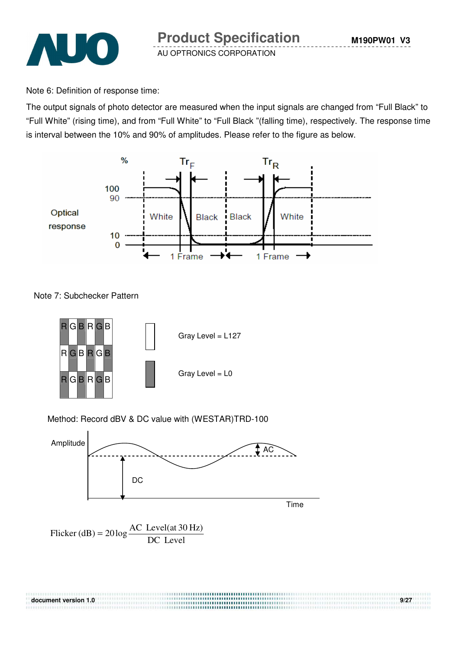

Note 6: Definition of response time:

The output signals of photo detector are measured when the input signals are changed from "Full Black" to "Full White" (rising time), and from "Full White" to "Full Black "(falling time), respectively. The response time is interval between the 10% and 90% of amplitudes. Please refer to the figure as below.



Note 7: Subchecker Pattern



#### Method: Record dBV & DC value with (WESTAR)TRD-100



Flicker (dB) = 
$$
20 \log \frac{AC \text{ Level(at 30 Hz})}{DC \text{ Level}}
$$

| document version 1.0 | 9/27 |
|----------------------|------|
|                      |      |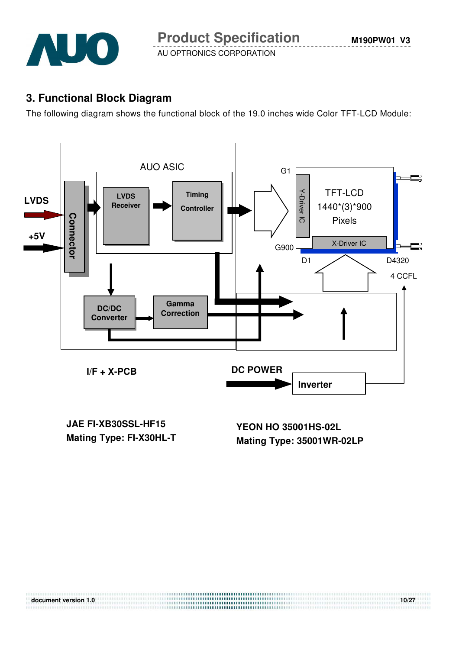

#### **3. Functional Block Diagram**

The following diagram shows the functional block of the 19.0 inches wide Color TFT-LCD Module:



**JAE FI-XB30SSL-HF15 Mating Type: FI-X30HL-T**

**YEON HO 35001HS-02L Mating Type: 35001WR-02LP**

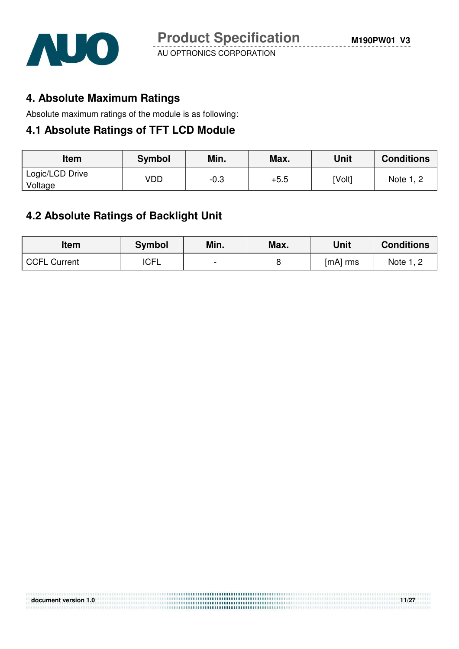

#### **4. Absolute Maximum Ratings**

Absolute maximum ratings of the module is as following:

#### **4.1 Absolute Ratings of TFT LCD Module**

| Item                       | Symbol | Min. | Max.   | Unit   | <b>Conditions</b> |
|----------------------------|--------|------|--------|--------|-------------------|
| Logic/LCD Drive<br>Voltage | VDD    | -0.3 | $+5.5$ | [Volt] | Note 1, 2         |

#### **4.2 Absolute Ratings of Backlight Unit**

| Item                | <b>Symbol</b> | Min.                     | Max. | Unit     | <b>Conditions</b> |
|---------------------|---------------|--------------------------|------|----------|-------------------|
| <b>CCFL Current</b> | <b>ICFL</b>   | $\overline{\phantom{0}}$ |      | [mA] rms | Note 1, 2         |

| document version 1.0 | 11/27 |
|----------------------|-------|
|                      |       |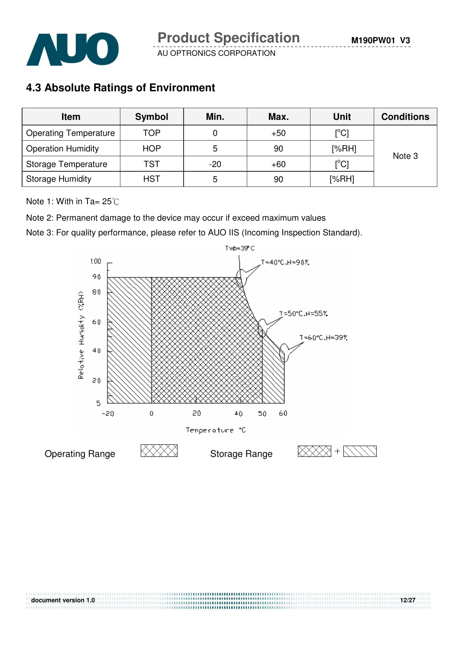**M190PW01 V3**



AU OPTRONICS CORPORATION

## **4.3 Absolute Ratings of Environment**

| <b>Item</b>                  | Symbol     | Min.  | Max.  | Unit                       | <b>Conditions</b> |
|------------------------------|------------|-------|-------|----------------------------|-------------------|
| <b>Operating Temperature</b> | <b>TOP</b> | 0     | $+50$ | $\mathop{\rm [^{\circ}Cl}$ |                   |
| <b>Operation Humidity</b>    | <b>HOP</b> | 5     | 90    | [%RH]                      | Note 3            |
| Storage Temperature          | <b>TST</b> | $-20$ | $+60$ | $\mathop{\rm [^{\circ}Cl}$ |                   |
| <b>Storage Humidity</b>      | <b>HST</b> | 5     | 90    | [%RH]                      |                   |

Note 1: With in Ta=  $25^{\circ}$ C

Note 2: Permanent damage to the device may occur if exceed maximum values

Note 3: For quality performance, please refer to AUO IIS (Incoming Inspection Standard).



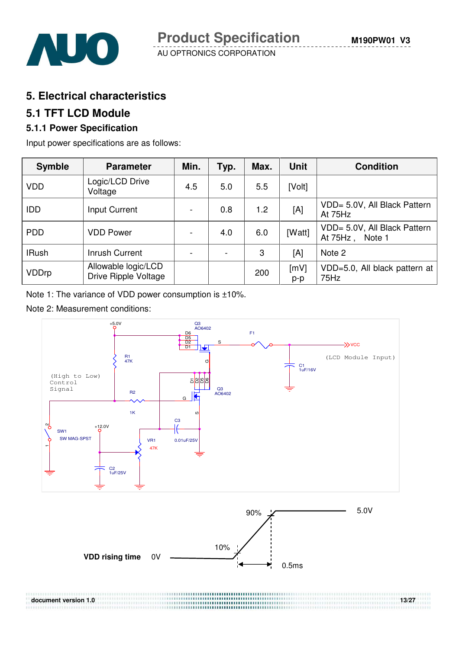

#### **5. Electrical characteristics**

#### **5.1 TFT LCD Module**

#### **5.1.1 Power Specification**

Input power specifications are as follows:

| <b>Symble</b> | <b>Parameter</b>                                   | Min.                     | Typ. | Max. | Unit        | <b>Condition</b>                                |
|---------------|----------------------------------------------------|--------------------------|------|------|-------------|-------------------------------------------------|
| <b>VDD</b>    | Logic/LCD Drive<br>Voltage                         | 4.5                      | 5.0  | 5.5  | [Volt]      |                                                 |
| <b>IDD</b>    | Input Current                                      | $\overline{\phantom{a}}$ | 0.8  | 1.2  | [A]         | VDD= 5.0V, All Black Pattern<br>At 75Hz         |
| <b>PDD</b>    | <b>VDD Power</b>                                   | $\overline{\phantom{a}}$ | 4.0  | 6.0  | [Watt]      | VDD= 5.0V, All Black Pattern<br>At 75Hz, Note 1 |
| <b>IRush</b>  | Inrush Current                                     |                          |      | 3    | [A]         | Note 2                                          |
| VDDrp         | Allowable logic/LCD<br><b>Drive Ripple Voltage</b> |                          |      | 200  | [mV]<br>p-p | VDD=5.0, All black pattern at<br>75Hz           |

Note 1: The variance of VDD power consumption is ±10%.

#### Note 2: Measurement conditions:

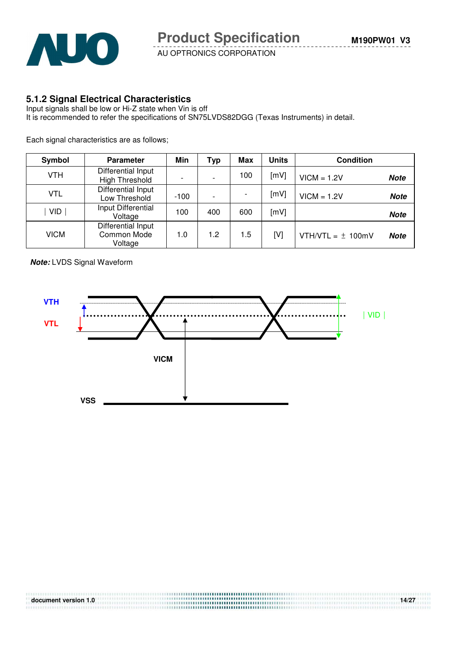

#### **5.1.2 Signal Electrical Characteristics**

Input signals shall be low or Hi-Z state when Vin is off It is recommended to refer the specifications of SN75LVDS82DGG (Texas Instruments) in detail.

Each signal characteristics are as follows;

| Symbol     | <b>Parameter</b>                             | Min    | Typ              | Max | <b>Units</b> | <b>Condition</b>      |             |
|------------|----------------------------------------------|--------|------------------|-----|--------------|-----------------------|-------------|
| <b>VTH</b> | Differential Input<br><b>High Threshold</b>  |        |                  | 100 | [mV]         | $VICM = 1.2V$         | <b>Note</b> |
| <b>VTL</b> | Differential Input<br>Low Threshold          | $-100$ |                  |     | [mV]         | $VICM = 1.2V$         | <b>Note</b> |
| <b>VID</b> | Input Differential<br>Voltage                | 100    | 400              | 600 | [mV]         |                       | <b>Note</b> |
| VICM       | Differential Input<br>Common Mode<br>Voltage | 1.0    | 1.2 <sub>2</sub> | 1.5 | [V]          | VTH/VTL = $\pm$ 100mV | <b>Note</b> |

**Note:** LVDS Signal Waveform



| document version 1.0 | 14/27 |
|----------------------|-------|
|                      |       |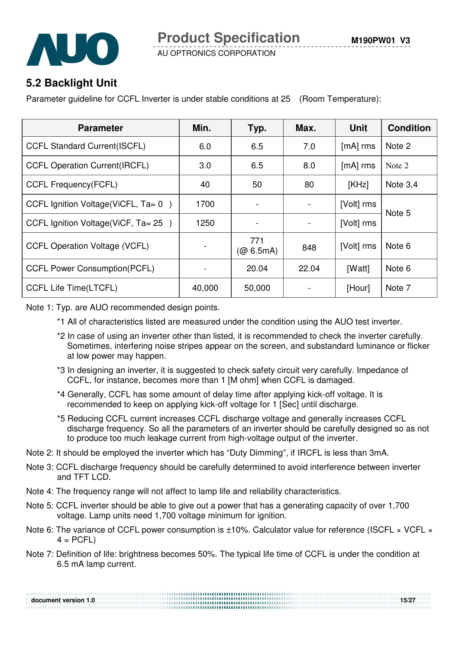

## **5.2 Backlight Unit**

Parameter guideline for CCFL Inverter is under stable conditions at 25 (Room Temperature):

| <b>Parameter</b>                         | Min.   | Typ.                | Max.  | <b>Unit</b> | <b>Condition</b> |
|------------------------------------------|--------|---------------------|-------|-------------|------------------|
| <b>CCFL Standard Current(ISCFL)</b>      | 6.0    | 6.5                 | 7.0   | $[mA]$ rms  | Note 2           |
| <b>CCFL Operation Current (IRCFL)</b>    | 3.0    | 6.5                 | 8.0   | $[mA]$ rms  | Note 2           |
| <b>CCFL Frequency(FCFL)</b>              | 40     | 50                  | 80    | [KHz]       | Note $3,4$       |
| CCFL Ignition Voltage (ViCFL, $Ta = 0$ ) | 1700   |                     |       | [Volt] rms  |                  |
| CCFL Ignition Voltage (ViCF, $Ta = 25$ ) | 1250   |                     |       | [Volt] rms  | Note 5           |
| <b>CCFL Operation Voltage (VCFL)</b>     |        | 771<br>$(Q\ 6.5mA)$ | 848   | [Volt] rms  | Note 6           |
| <b>CCFL Power Consumption(PCFL)</b>      |        | 20.04               | 22.04 | [Watt]      | Note 6           |
| <b>CCFL Life Time(LTCFL)</b>             | 40,000 | 50,000              |       | [Hour]      | Note 7           |

Note 1: Typ. are AUO recommended design points.

- \*1 All of characteristics listed are measured under the condition using the AUO test inverter.
- \*2 In case of using an inverter other than listed, it is recommended to check the inverter carefully. Sometimes, interfering noise stripes appear on the screen, and substandard luminance or flicker at low power may happen.
- \*3 In designing an inverter, it is suggested to check safety circuit very carefully. Impedance of CCFL, for instance, becomes more than 1 [M ohm] when CCFL is damaged.
- \*4 Generally, CCFL has some amount of delay time after applying kick-off voltage. It is recommended to keep on applying kick-off voltage for 1 [Sec] until discharge.
- \*5 Reducing CCFL current increases CCFL discharge voltage and generally increases CCFL discharge frequency. So all the parameters of an inverter should be carefully designed so as not to produce too much leakage current from high-voltage output of the inverter.
- Note 2: It should be employed the inverter which has "Duty Dimming", if IRCFL is less than 3mA.
- Note 3: CCFL discharge frequency should be carefully determined to avoid interference between inverter and TFT LCD.
- Note 4: The frequency range will not affect to lamp life and reliability characteristics.
- Note 5: CCFL inverter should be able to give out a power that has a generating capacity of over 1,700 voltage. Lamp units need 1,700 voltage minimum for ignition.
- Note 6: The variance of CCFL power consumption is  $\pm 10$ %. Calculator value for reference (ISCFL  $\times$  VCFL  $\times$  $4 = PCFL$
- Note 7: Definition of life: brightness becomes 50%. The typical life time of CCFL is under the condition at 6.5 mA lamp current.

| document version 1.0 | 15/27 |
|----------------------|-------|
|                      |       |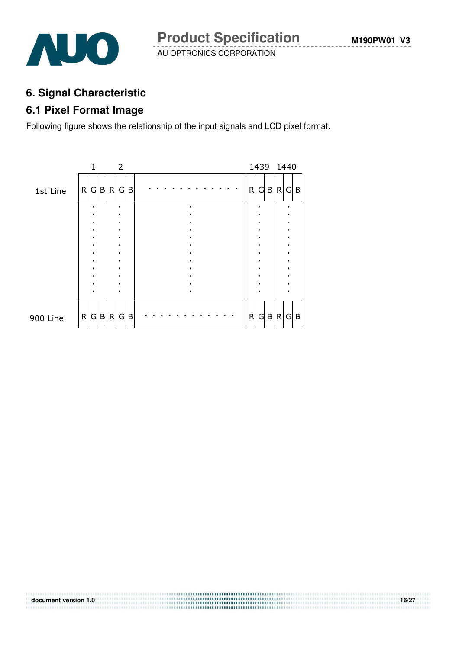

**M190PW01 V3**

AU OPTRONICS CORPORATION

## **6. Signal Characteristic**

#### **6.1 Pixel Format Image**

Following figure shows the relationship of the input signals and LCD pixel format.

|          |   | 1 |           |   | $\overline{2}$ |           |  |  |  |  |  |   |  | 1439 1440 |   |
|----------|---|---|-----------|---|----------------|-----------|--|--|--|--|--|---|--|-----------|---|
| 1st Line | R |   | G B R G B |   |                |           |  |  |  |  |  | R |  | G B R G B |   |
|          |   |   |           |   |                |           |  |  |  |  |  |   |  |           |   |
|          |   |   |           |   |                |           |  |  |  |  |  |   |  |           |   |
|          |   |   |           |   |                |           |  |  |  |  |  |   |  |           |   |
|          |   |   |           |   |                |           |  |  |  |  |  |   |  |           |   |
|          |   |   |           |   |                |           |  |  |  |  |  |   |  |           |   |
|          |   |   |           |   |                |           |  |  |  |  |  |   |  |           |   |
| 900 Line | R |   | G B       | R | $\mathsf{G}$   | $\vert$ B |  |  |  |  |  | R |  | G B R G   | B |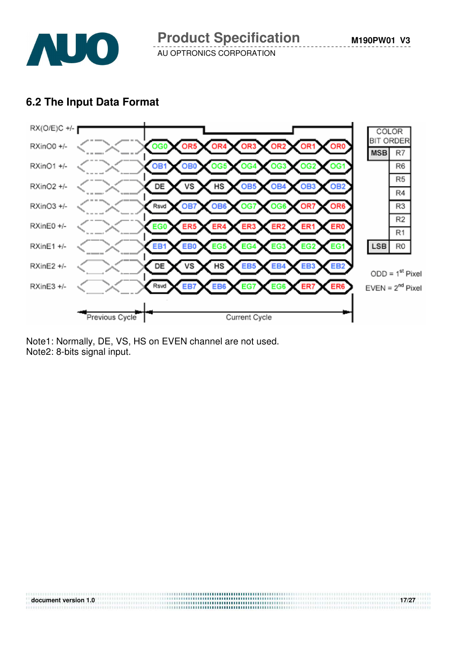

#### **6.2 The Input Data Format**



Note1: Normally, DE, VS, HS on EVEN channel are not used. Note2: 8-bits signal input.

| document version 1.0 | 17/27 |
|----------------------|-------|
|                      |       |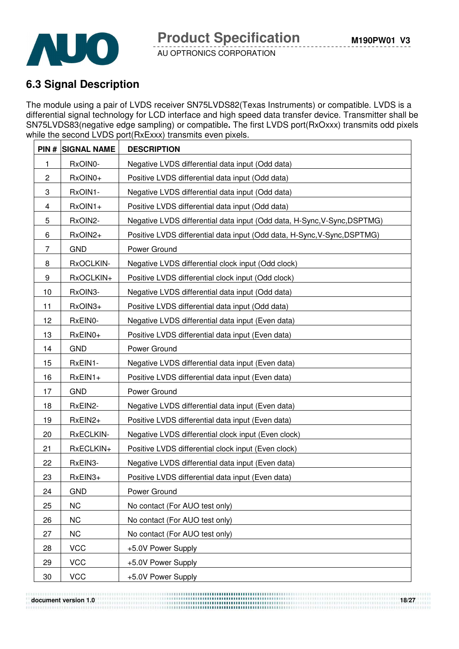

## **6.3 Signal Description**

The module using a pair of LVDS receiver SN75LVDS82(Texas Instruments) or compatible. LVDS is a differential signal technology for LCD interface and high speed data transfer device. Transmitter shall be SN75LVDS83(negative edge sampling) or compatible**.** The first LVDS port(RxOxxx) transmits odd pixels while the second LVDS port(RxExxx) transmits even pixels.

|                | <b>PIN # SIGNAL NAME</b> | <b>DESCRIPTION</b>                                                       |
|----------------|--------------------------|--------------------------------------------------------------------------|
| 1              | RxOIN0-                  | Negative LVDS differential data input (Odd data)                         |
| $\overline{c}$ | RxOIN0+                  | Positive LVDS differential data input (Odd data)                         |
| 3              | RxOIN1-                  | Negative LVDS differential data input (Odd data)                         |
| 4              | RxOIN1+                  | Positive LVDS differential data input (Odd data)                         |
| 5              | RxOIN2-                  | Negative LVDS differential data input (Odd data, H-Sync, V-Sync, DSPTMG) |
| 6              | RxOIN2+                  | Positive LVDS differential data input (Odd data, H-Sync, V-Sync, DSPTMG) |
| 7              | <b>GND</b>               | Power Ground                                                             |
| 8              | RxOCLKIN-                | Negative LVDS differential clock input (Odd clock)                       |
| 9              | RxOCLKIN+                | Positive LVDS differential clock input (Odd clock)                       |
| 10             | RxOIN3-                  | Negative LVDS differential data input (Odd data)                         |
| 11             | RxOIN3+                  | Positive LVDS differential data input (Odd data)                         |
| 12             | RxEIN0-                  | Negative LVDS differential data input (Even data)                        |
| 13             | RxEIN0+                  | Positive LVDS differential data input (Even data)                        |
| 14             | <b>GND</b>               | Power Ground                                                             |
| 15             | RxEIN1-                  | Negative LVDS differential data input (Even data)                        |
| 16             | RxEIN1+                  | Positive LVDS differential data input (Even data)                        |
| 17             | <b>GND</b>               | Power Ground                                                             |
| 18             | RxEIN2-                  | Negative LVDS differential data input (Even data)                        |
| 19             | RxEIN2+                  | Positive LVDS differential data input (Even data)                        |
| 20             | RxECLKIN-                | Negative LVDS differential clock input (Even clock)                      |
| 21             | RxECLKIN+                | Positive LVDS differential clock input (Even clock)                      |
| 22             | RxEIN3-                  | Negative LVDS differential data input (Even data)                        |
| 23             | RxEIN3+                  | Positive LVDS differential data input (Even data)                        |
| 24             | <b>GND</b>               | Power Ground                                                             |
| 25             | <b>NC</b>                | No contact (For AUO test only)                                           |
| 26             | <b>NC</b>                | No contact (For AUO test only)                                           |
| 27             | <b>NC</b>                | No contact (For AUO test only)                                           |
| 28             | <b>VCC</b>               | +5.0V Power Supply                                                       |
| 29             | <b>VCC</b>               | +5.0V Power Supply                                                       |
| 30             | <b>VCC</b>               | +5.0V Power Supply                                                       |

**document version 1.0** 18/27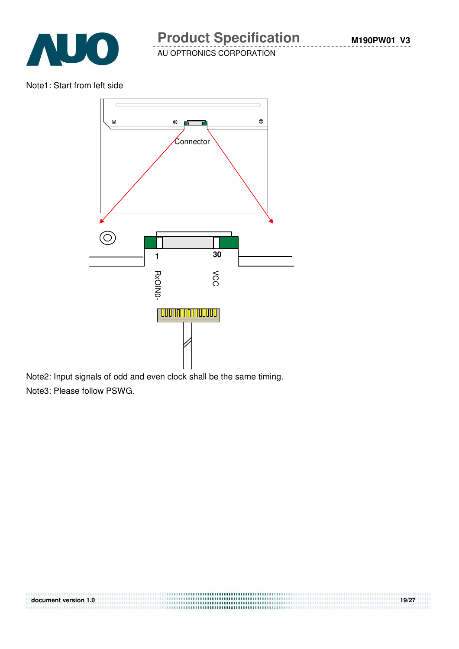

Note1: Start from left side



Note2: Input signals of odd and even clock shall be the same timing. Note3: Please follow PSWG.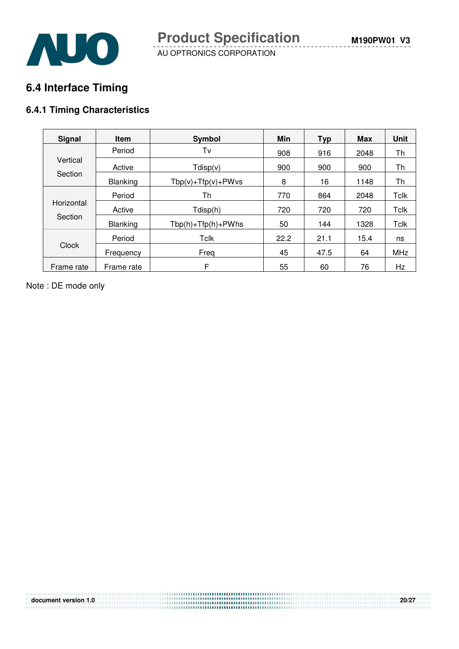**M190PW01 V3**



AU OPTRONICS CORPORATION

## **6.4 Interface Timing**

#### **6.4.1 Timing Characteristics**

| <b>Signal</b> | <b>Item</b>     | Symbol                   | Min  | <b>Typ</b> | <b>Max</b> | <b>Unit</b> |
|---------------|-----------------|--------------------------|------|------------|------------|-------------|
|               | Period          | Tv                       | 908  | 916        | 2048       | Th          |
| Vertical      | Active          | Tdisp(v)                 | 900  | 900        | 900        | Th          |
| Section       | <b>Blanking</b> | $Tbp(v) + Tfp(v) + PWvs$ |      | 16         | 1148       | Th          |
|               | Period          | Th                       | 770  | 864        | 2048       | <b>Tclk</b> |
| Horizontal    | Active          | Tdisp(h)                 | 720  | 720        | 720        | Tclk        |
| Section       | <b>Blanking</b> | $Tbp(h) + Tfp(h) + PWhs$ | 50   | 144        | 1328       | <b>Tclk</b> |
|               | Period          | Tclk                     | 22.2 | 21.1       | 15.4       | ns          |
| <b>Clock</b>  | Frequency       | Freq                     | 45   | 47.5       | 64         | MHz         |
| Frame rate    | Frame rate      | F                        | 55   | 60         | 76         | Hz          |

Note : DE mode only

| document version 1.0 | 20/27 |
|----------------------|-------|
|                      |       |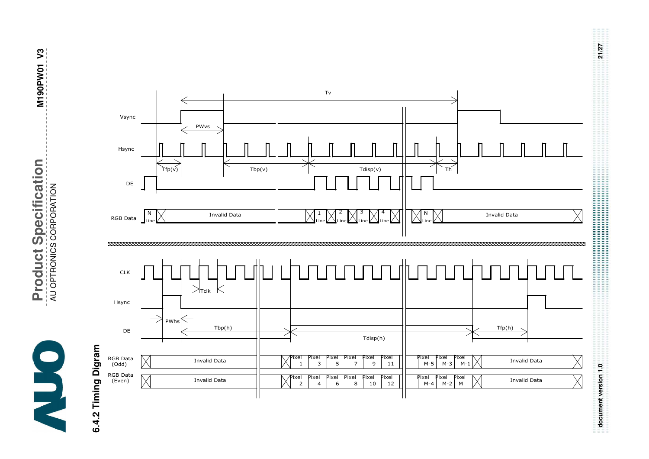

**Product Specification Product Specification** AU OPTRONICS CORPORATION AU OPTRONICS CORPORATION  $\mathbf{I}$ 

# **6.4.2 Timing Digram**  6.4.2 Timing Digram



**document version 1.0 21/27**  

document version 1.0

21/27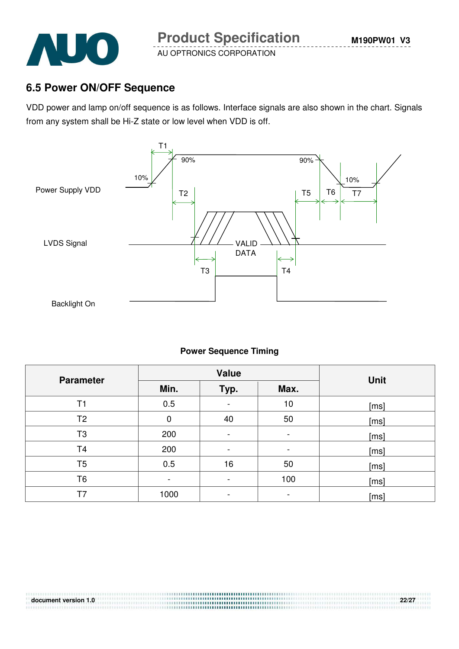

#### **6.5 Power ON/OFF Sequence**

VDD power and lamp on/off sequence is as follows. Interface signals are also shown in the chart. Signals from any system shall be Hi-Z state or low level when VDD is off.



#### **Power Sequence Timing**

| <b>Parameter</b> |      | <b>Value</b>                 | <b>Unit</b>    |      |
|------------------|------|------------------------------|----------------|------|
|                  | Min. | Typ.                         | Max.           |      |
| T1               | 0.5  | $\overline{\phantom{a}}$     | 10             | [ms] |
| T <sub>2</sub>   | 0    | 40                           | 50             | [ms] |
| T <sub>3</sub>   | 200  | -                            | $\blacksquare$ | [ms] |
| T4               | 200  | $\qquad \qquad \blacksquare$ | ۰.             | [ms] |
| T <sub>5</sub>   | 0.5  | 16                           | 50             | [ms] |
| T6               |      | -                            | 100            | [ms] |
| T7               | 1000 |                              |                | [ms] |

.....................................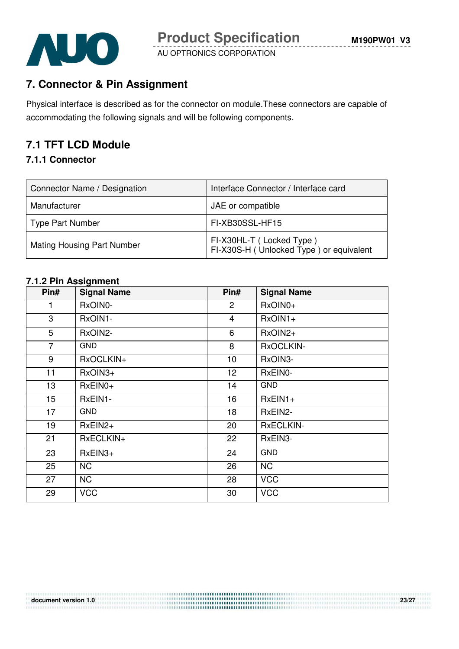

## **7. Connector & Pin Assignment**

Physical interface is described as for the connector on module.These connectors are capable of accommodating the following signals and will be following components.

## **7.1 TFT LCD Module**

#### **7.1.1 Connector**

| Connector Name / Designation      | Interface Connector / Interface card                                  |
|-----------------------------------|-----------------------------------------------------------------------|
| Manufacturer                      | JAE or compatible                                                     |
| Type Part Number                  | FI-XB30SSL-HF15                                                       |
| <b>Mating Housing Part Number</b> | FI-X30HL-T (Locked Type)<br>FI-X30S-H ( Unlocked Type ) or equivalent |

#### **7.1.2 Pin Assignment**

| Pin#             | <b>Signal Name</b> | Pin#            | <b>Signal Name</b> |
|------------------|--------------------|-----------------|--------------------|
| 1                | RxOIN0-            | $\overline{c}$  | RxOIN0+            |
| 3                | RxOIN1-            | $\overline{4}$  | $RxOIN1+$          |
| 5                | RxOIN2-            | 6               | RxOIN2+            |
| $\overline{7}$   | <b>GND</b>         | 8               | RxOCLKIN-          |
| 9                | RxOCLKIN+          | 10              | RxOIN3-            |
| 11               | RxOIN3+            | 12 <sub>2</sub> | RxEIN0-            |
| 13               | $RxEINO+$          | 14              | <b>GND</b>         |
| 15 <sub>15</sub> | RxEIN1-            | 16              | $RxEIN1+$          |
| 17               | <b>GND</b>         | 18              | RxEIN2-            |
| 19               | $RxEIN2+$          | 20              | <b>RxECLKIN-</b>   |
| 21               | RxECLKIN+          | 22              | RxEIN3-            |
| 23               | RxEIN3+            | 24              | <b>GND</b>         |
| 25               | <b>NC</b>          | 26              | <b>NC</b>          |
| 27               | <b>NC</b>          | 28              | <b>VCC</b>         |
| 29               | <b>VCC</b>         | 30              | <b>VCC</b>         |

#### **document version 1.0 23/27**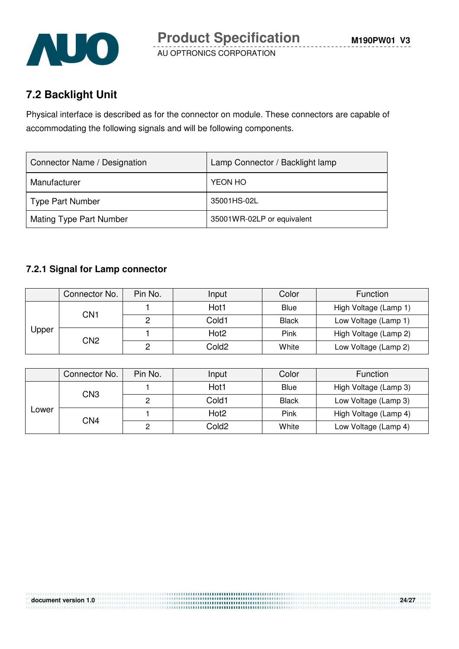

## **7.2 Backlight Unit**

Physical interface is described as for the connector on module. These connectors are capable of accommodating the following signals and will be following components.

| Connector Name / Designation | Lamp Connector / Backlight lamp |
|------------------------------|---------------------------------|
| Manufacturer                 | YEON HO                         |
| Type Part Number             | 35001HS-02L                     |
| Mating Type Part Number      | 35001WR-02LP or equivalent      |

#### **7.2.1 Signal for Lamp connector**

|       | Connector No.   | Pin No. | Input             | Color        | Function              |
|-------|-----------------|---------|-------------------|--------------|-----------------------|
| Upper | CN1             |         | Hot1              | <b>Blue</b>  | High Voltage (Lamp 1) |
|       |                 |         | Cold1             | <b>Black</b> | Low Voltage (Lamp 1)  |
|       | CN <sub>2</sub> |         | Hot <sub>2</sub>  | Pink         | High Voltage (Lamp 2) |
|       |                 |         | Cold <sub>2</sub> | White        | Low Voltage (Lamp 2)  |

|       | Connector No.   | Pin No. | Input            | Color        | Function              |
|-------|-----------------|---------|------------------|--------------|-----------------------|
|       | CN3             |         | Hot1             | Blue         | High Voltage (Lamp 3) |
| Lower |                 |         | Cold1            | <b>Black</b> | Low Voltage (Lamp 3)  |
|       | CN <sub>4</sub> |         | Hot <sub>2</sub> | Pink         | High Voltage (Lamp 4) |
|       |                 |         | Cold2            | White        | Low Voltage (Lamp 4)  |

.....................................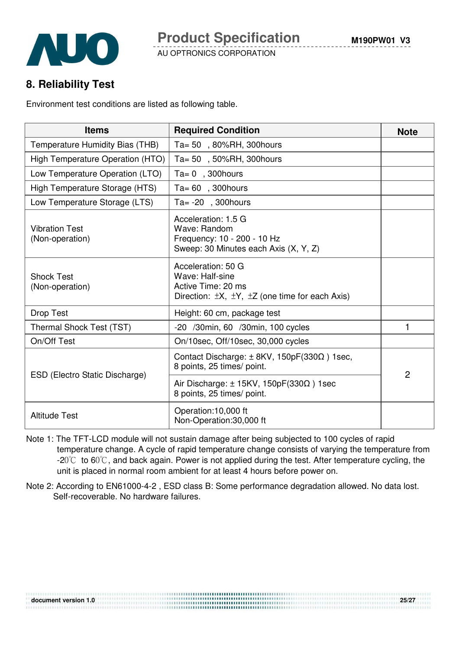**8. Reliability Test** 

Environment test conditions are listed as following table.

| <b>Items</b>                             | <b>Required Condition</b>                                                                                                      | <b>Note</b>    |
|------------------------------------------|--------------------------------------------------------------------------------------------------------------------------------|----------------|
| Temperature Humidity Bias (THB)          | Ta= 50, 80%RH, 300hours                                                                                                        |                |
| High Temperature Operation (HTO)         | Ta= 50, 50%RH, 300 hours                                                                                                       |                |
| Low Temperature Operation (LTO)          | $Ta = 0$ , 300 hours                                                                                                           |                |
| High Temperature Storage (HTS)           | $Ta = 60$ , 300 hours                                                                                                          |                |
| Low Temperature Storage (LTS)            | Ta= $-20$ , 300 hours                                                                                                          |                |
| <b>Vibration Test</b><br>(Non-operation) | Acceleration: 1.5 G<br>Wave: Random<br>Frequency: 10 - 200 - 10 Hz<br>Sweep: 30 Minutes each Axis (X, Y, Z)                    |                |
| <b>Shock Test</b><br>(Non-operation)     | Acceleration: 50 G<br>Wave: Half-sine<br>Active Time: 20 ms<br>Direction: $\pm X$ , $\pm Y$ , $\pm Z$ (one time for each Axis) |                |
| Drop Test                                | Height: 60 cm, package test                                                                                                    |                |
| Thermal Shock Test (TST)                 | -20 /30min, 60 /30min, 100 cycles                                                                                              | 1              |
| On/Off Test                              | On/10sec, Off/10sec, 30,000 cycles                                                                                             |                |
| ESD (Electro Static Discharge)           | Contact Discharge: ± 8KV, 150pF(330Ω) 1sec,<br>8 points, 25 times/ point.                                                      | $\overline{2}$ |
|                                          | Air Discharge: $\pm$ 15KV, 150pF(330 $\Omega$ ) 1sec<br>8 points, 25 times/ point.                                             |                |
| <b>Altitude Test</b>                     | Operation:10,000 ft<br>Non-Operation:30,000 ft                                                                                 |                |

- Note 1: The TFT-LCD module will not sustain damage after being subjected to 100 cycles of rapid temperature change. A cycle of rapid temperature change consists of varying the temperature from  $-20^{\circ}$  to 60 $^{\circ}$ C, and back again. Power is not applied during the test. After temperature cycling, the unit is placed in normal room ambient for at least 4 hours before power on.
- Note 2: According to EN61000-4-2 , ESD class B: Some performance degradation allowed. No data lost. Self-recoverable. No hardware failures.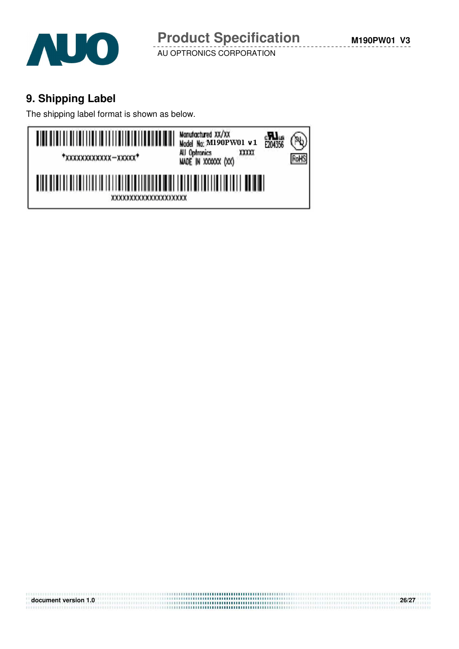

## **9. Shipping Label**

The shipping label format is shown as below.